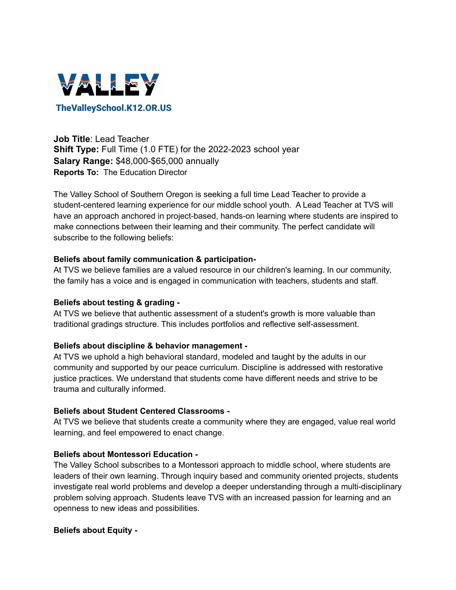

**Job Title**: Lead Teacher **Shift Type:** Full Time (1.0 FTE) for the 2022-2023 school year **Salary Range:** \$48,000-\$65,000 annually **Reports To:** The Education Director

The Valley School of Southern Oregon is seeking a full time Lead Teacher to provide a student-centered learning experience for our middle school youth. A Lead Teacher at TVS will have an approach anchored in project-based, hands-on learning where students are inspired to make connections between their learning and their community. The perfect candidate will subscribe to the following beliefs:

## **Beliefs about family communication & participation-**

At TVS we believe families are a valued resource in our children's learning. In our community, the family has a voice and is engaged in communication with teachers, students and staff.

## **Beliefs about testing & grading -**

At TVS we believe that authentic assessment of a student's growth is more valuable than traditional gradings structure. This includes portfolios and reflective self-assessment.

## **Beliefs about discipline & behavior management -**

At TVS we uphold a high behavioral standard, modeled and taught by the adults in our community and supported by our peace curriculum. Discipline is addressed with restorative justice practices. We understand that students come have different needs and strive to be trauma and culturally informed.

## **Beliefs about Student Centered Classrooms -**

At TVS we believe that students create a community where they are engaged, value real world learning, and feel empowered to enact change.

#### **Beliefs about Montessori Education -**

The Valley School subscribes to a Montessori approach to middle school, where students are leaders of their own learning. Through inquiry based and community oriented projects, students investigate real world problems and develop a deeper understanding through a multi-disciplinary problem solving approach. Students leave TVS with an increased passion for learning and an openness to new ideas and possibilities.

## **Beliefs about Equity -**